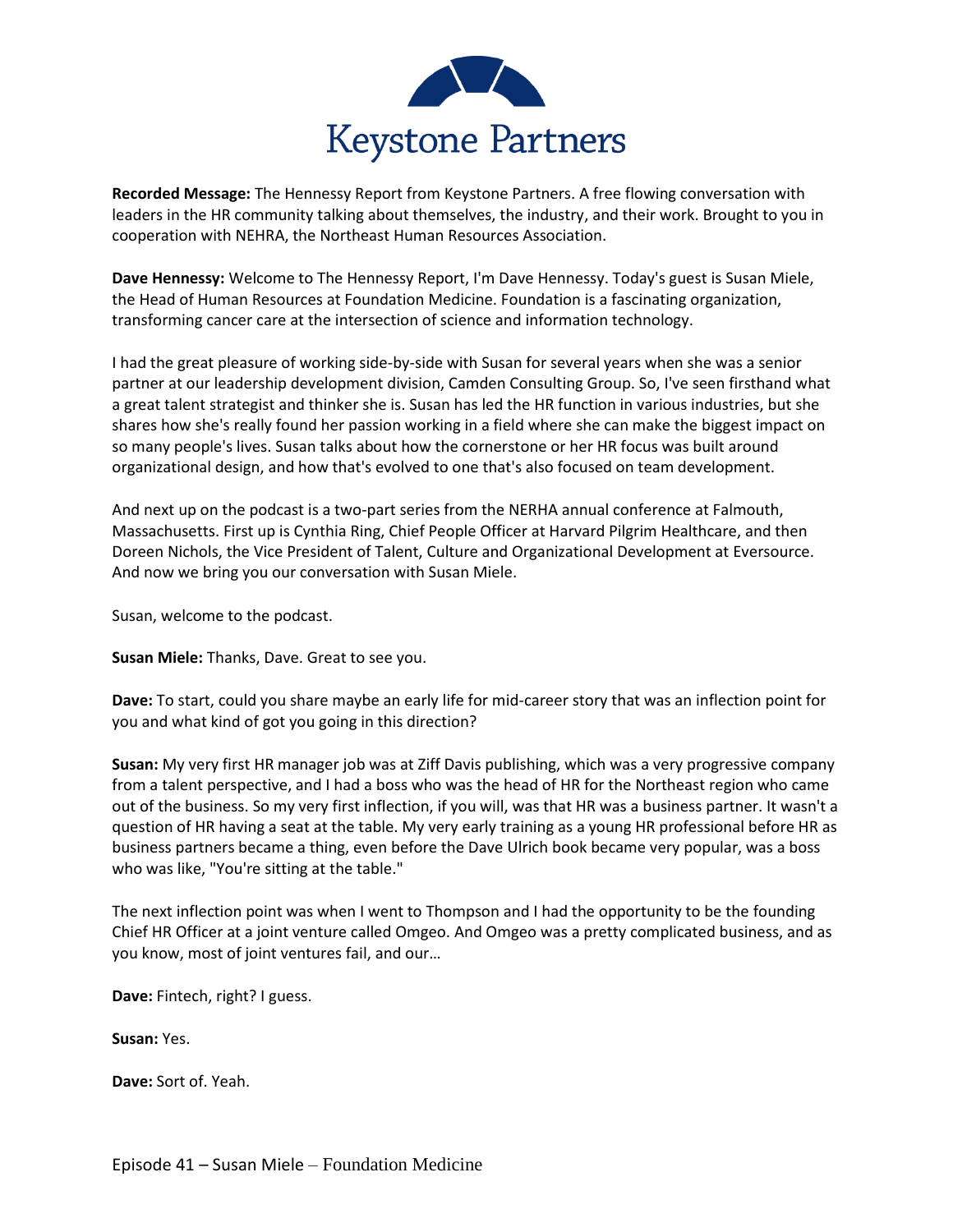

**Recorded Message:** The Hennessy Report from Keystone Partners. A free flowing conversation with leaders in the HR community talking about themselves, the industry, and their work. Brought to you in cooperation with NEHRA, the Northeast Human Resources Association.

**Dave Hennessy:** Welcome to The Hennessy Report, I'm Dave Hennessy. Today's guest is Susan Miele, the Head of Human Resources at Foundation Medicine. Foundation is a fascinating organization, transforming cancer care at the intersection of science and information technology.

I had the great pleasure of working side-by-side with Susan for several years when she was a senior partner at our leadership development division, Camden Consulting Group. So, I've seen firsthand what a great talent strategist and thinker she is. Susan has led the HR function in various industries, but she shares how she's really found her passion working in a field where she can make the biggest impact on so many people's lives. Susan talks about how the cornerstone or her HR focus was built around organizational design, and how that's evolved to one that's also focused on team development.

And next up on the podcast is a two-part series from the NERHA annual conference at Falmouth, Massachusetts. First up is Cynthia Ring, Chief People Officer at Harvard Pilgrim Healthcare, and then Doreen Nichols, the Vice President of Talent, Culture and Organizational Development at Eversource. And now we bring you our conversation with Susan Miele.

Susan, welcome to the podcast.

**Susan Miele:** Thanks, Dave. Great to see you.

**Dave:** To start, could you share maybe an early life for mid-career story that was an inflection point for you and what kind of got you going in this direction?

**Susan:** My very first HR manager job was at Ziff Davis publishing, which was a very progressive company from a talent perspective, and I had a boss who was the head of HR for the Northeast region who came out of the business. So my very first inflection, if you will, was that HR was a business partner. It wasn't a question of HR having a seat at the table. My very early training as a young HR professional before HR as business partners became a thing, even before the Dave Ulrich book became very popular, was a boss who was like, "You're sitting at the table."

The next inflection point was when I went to Thompson and I had the opportunity to be the founding Chief HR Officer at a joint venture called Omgeo. And Omgeo was a pretty complicated business, and as you know, most of joint ventures fail, and our…

**Dave:** Fintech, right? I guess.

**Susan:** Yes.

**Dave:** Sort of. Yeah.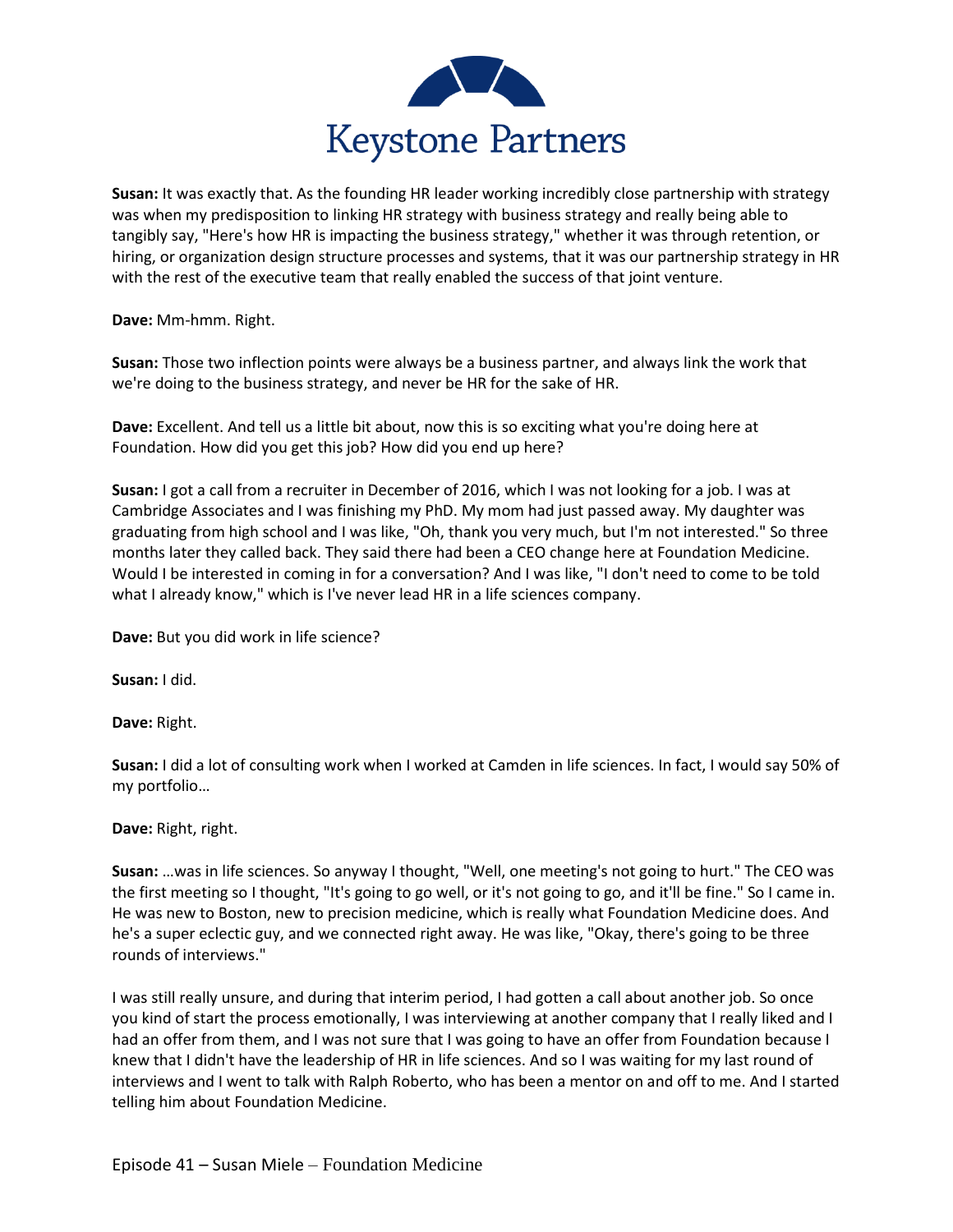

**Susan:** It was exactly that. As the founding HR leader working incredibly close partnership with strategy was when my predisposition to linking HR strategy with business strategy and really being able to tangibly say, "Here's how HR is impacting the business strategy," whether it was through retention, or hiring, or organization design structure processes and systems, that it was our partnership strategy in HR with the rest of the executive team that really enabled the success of that joint venture.

**Dave:** Mm-hmm. Right.

**Susan:** Those two inflection points were always be a business partner, and always link the work that we're doing to the business strategy, and never be HR for the sake of HR.

**Dave:** Excellent. And tell us a little bit about, now this is so exciting what you're doing here at Foundation. How did you get this job? How did you end up here?

**Susan:** I got a call from a recruiter in December of 2016, which I was not looking for a job. I was at Cambridge Associates and I was finishing my PhD. My mom had just passed away. My daughter was graduating from high school and I was like, "Oh, thank you very much, but I'm not interested." So three months later they called back. They said there had been a CEO change here at Foundation Medicine. Would I be interested in coming in for a conversation? And I was like, "I don't need to come to be told what I already know," which is I've never lead HR in a life sciences company.

**Dave:** But you did work in life science?

**Susan:** I did.

**Dave:** Right.

**Susan:** I did a lot of consulting work when I worked at Camden in life sciences. In fact, I would say 50% of my portfolio…

**Dave:** Right, right.

**Susan:** …was in life sciences. So anyway I thought, "Well, one meeting's not going to hurt." The CEO was the first meeting so I thought, "It's going to go well, or it's not going to go, and it'll be fine." So I came in. He was new to Boston, new to precision medicine, which is really what Foundation Medicine does. And he's a super eclectic guy, and we connected right away. He was like, "Okay, there's going to be three rounds of interviews."

I was still really unsure, and during that interim period, I had gotten a call about another job. So once you kind of start the process emotionally, I was interviewing at another company that I really liked and I had an offer from them, and I was not sure that I was going to have an offer from Foundation because I knew that I didn't have the leadership of HR in life sciences. And so I was waiting for my last round of interviews and I went to talk with Ralph Roberto, who has been a mentor on and off to me. And I started telling him about Foundation Medicine.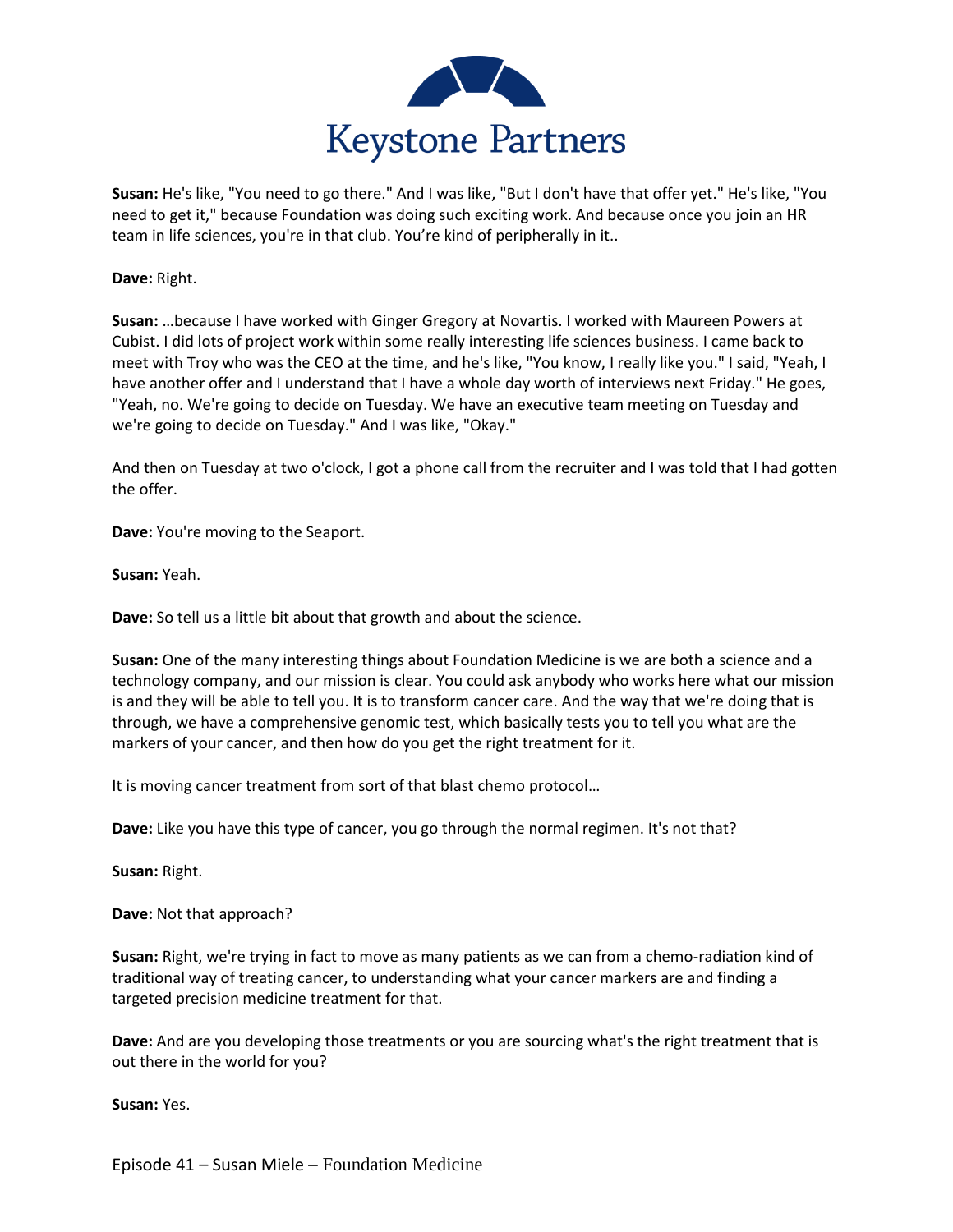

**Susan:** He's like, "You need to go there." And I was like, "But I don't have that offer yet." He's like, "You need to get it," because Foundation was doing such exciting work. And because once you join an HR team in life sciences, you're in that club. You're kind of peripherally in it..

**Dave:** Right.

**Susan:** …because I have worked with Ginger Gregory at Novartis. I worked with Maureen Powers at Cubist. I did lots of project work within some really interesting life sciences business. I came back to meet with Troy who was the CEO at the time, and he's like, "You know, I really like you." I said, "Yeah, I have another offer and I understand that I have a whole day worth of interviews next Friday." He goes, "Yeah, no. We're going to decide on Tuesday. We have an executive team meeting on Tuesday and we're going to decide on Tuesday." And I was like, "Okay."

And then on Tuesday at two o'clock, I got a phone call from the recruiter and I was told that I had gotten the offer.

**Dave:** You're moving to the Seaport.

**Susan:** Yeah.

**Dave:** So tell us a little bit about that growth and about the science.

**Susan:** One of the many interesting things about Foundation Medicine is we are both a science and a technology company, and our mission is clear. You could ask anybody who works here what our mission is and they will be able to tell you. It is to transform cancer care. And the way that we're doing that is through, we have a comprehensive genomic test, which basically tests you to tell you what are the markers of your cancer, and then how do you get the right treatment for it.

It is moving cancer treatment from sort of that blast chemo protocol…

**Dave:** Like you have this type of cancer, you go through the normal regimen. It's not that?

**Susan:** Right.

**Dave:** Not that approach?

**Susan:** Right, we're trying in fact to move as many patients as we can from a chemo-radiation kind of traditional way of treating cancer, to understanding what your cancer markers are and finding a targeted precision medicine treatment for that.

**Dave:** And are you developing those treatments or you are sourcing what's the right treatment that is out there in the world for you?

**Susan:** Yes.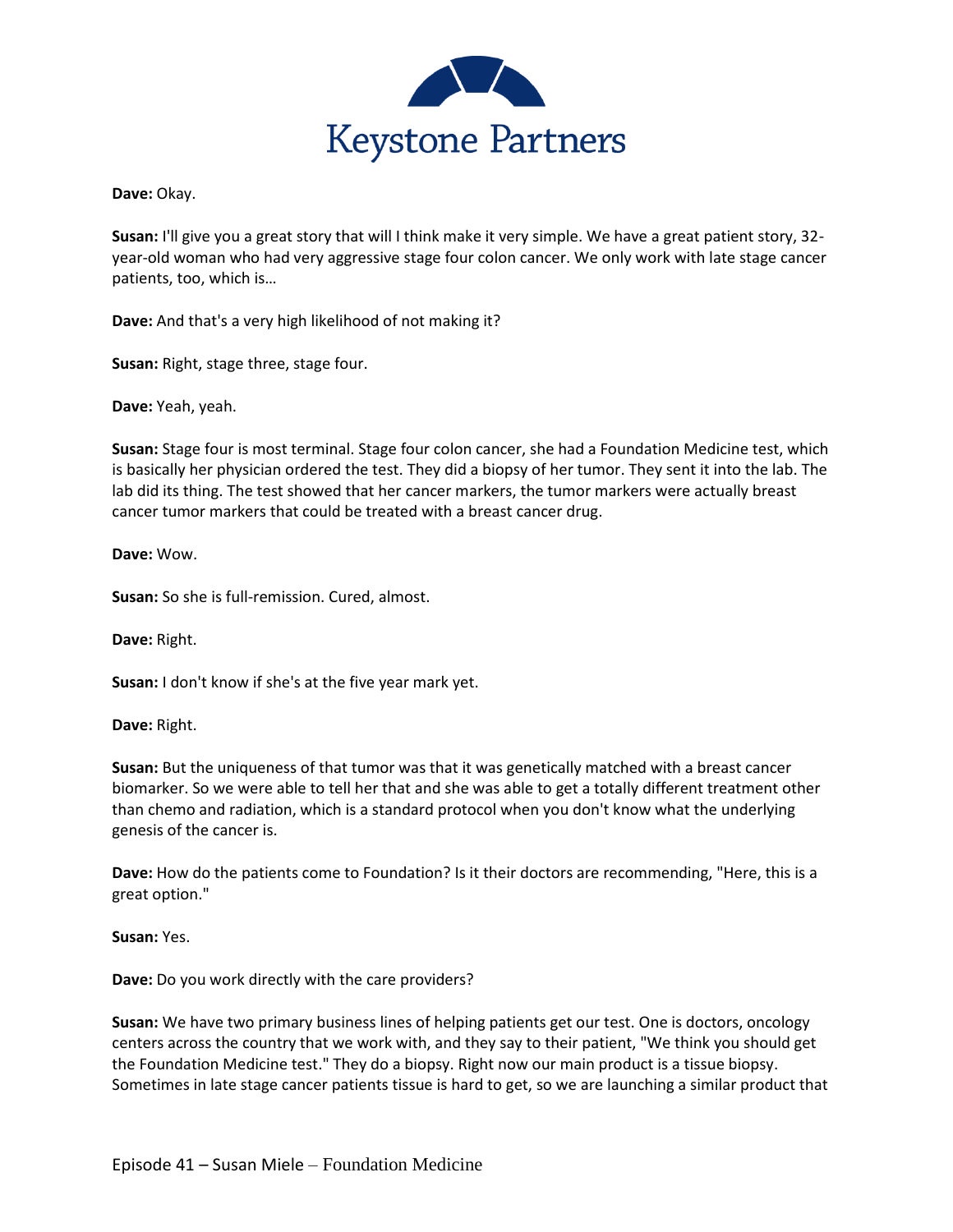

**Dave:** Okay.

**Susan:** I'll give you a great story that will I think make it very simple. We have a great patient story, 32 year-old woman who had very aggressive stage four colon cancer. We only work with late stage cancer patients, too, which is…

**Dave:** And that's a very high likelihood of not making it?

**Susan:** Right, stage three, stage four.

**Dave:** Yeah, yeah.

**Susan:** Stage four is most terminal. Stage four colon cancer, she had a Foundation Medicine test, which is basically her physician ordered the test. They did a biopsy of her tumor. They sent it into the lab. The lab did its thing. The test showed that her cancer markers, the tumor markers were actually breast cancer tumor markers that could be treated with a breast cancer drug.

**Dave:** Wow.

**Susan:** So she is full-remission. Cured, almost.

**Dave:** Right.

**Susan:** I don't know if she's at the five year mark yet.

**Dave:** Right.

**Susan:** But the uniqueness of that tumor was that it was genetically matched with a breast cancer biomarker. So we were able to tell her that and she was able to get a totally different treatment other than chemo and radiation, which is a standard protocol when you don't know what the underlying genesis of the cancer is.

**Dave:** How do the patients come to Foundation? Is it their doctors are recommending, "Here, this is a great option."

**Susan:** Yes.

**Dave:** Do you work directly with the care providers?

**Susan:** We have two primary business lines of helping patients get our test. One is doctors, oncology centers across the country that we work with, and they say to their patient, "We think you should get the Foundation Medicine test." They do a biopsy. Right now our main product is a tissue biopsy. Sometimes in late stage cancer patients tissue is hard to get, so we are launching a similar product that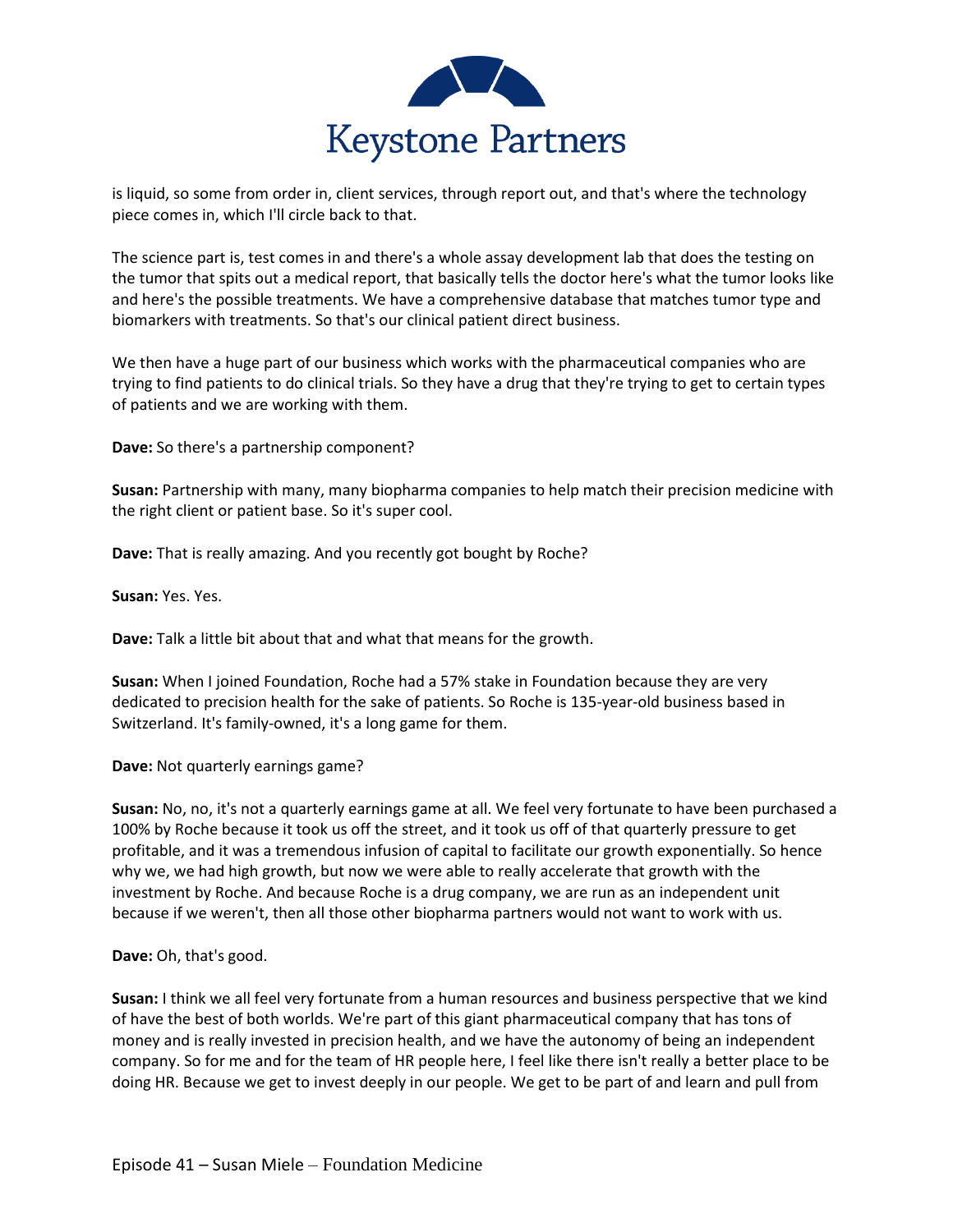

is liquid, so some from order in, client services, through report out, and that's where the technology piece comes in, which I'll circle back to that.

The science part is, test comes in and there's a whole assay development lab that does the testing on the tumor that spits out a medical report, that basically tells the doctor here's what the tumor looks like and here's the possible treatments. We have a comprehensive database that matches tumor type and biomarkers with treatments. So that's our clinical patient direct business.

We then have a huge part of our business which works with the pharmaceutical companies who are trying to find patients to do clinical trials. So they have a drug that they're trying to get to certain types of patients and we are working with them.

**Dave:** So there's a partnership component?

**Susan:** Partnership with many, many biopharma companies to help match their precision medicine with the right client or patient base. So it's super cool.

**Dave:** That is really amazing. And you recently got bought by Roche?

**Susan:** Yes. Yes.

**Dave:** Talk a little bit about that and what that means for the growth.

**Susan:** When I joined Foundation, Roche had a 57% stake in Foundation because they are very dedicated to precision health for the sake of patients. So Roche is 135-year-old business based in Switzerland. It's family-owned, it's a long game for them.

**Dave:** Not quarterly earnings game?

**Susan:** No, no, it's not a quarterly earnings game at all. We feel very fortunate to have been purchased a 100% by Roche because it took us off the street, and it took us off of that quarterly pressure to get profitable, and it was a tremendous infusion of capital to facilitate our growth exponentially. So hence why we, we had high growth, but now we were able to really accelerate that growth with the investment by Roche. And because Roche is a drug company, we are run as an independent unit because if we weren't, then all those other biopharma partners would not want to work with us.

**Dave:** Oh, that's good.

**Susan:** I think we all feel very fortunate from a human resources and business perspective that we kind of have the best of both worlds. We're part of this giant pharmaceutical company that has tons of money and is really invested in precision health, and we have the autonomy of being an independent company. So for me and for the team of HR people here, I feel like there isn't really a better place to be doing HR. Because we get to invest deeply in our people. We get to be part of and learn and pull from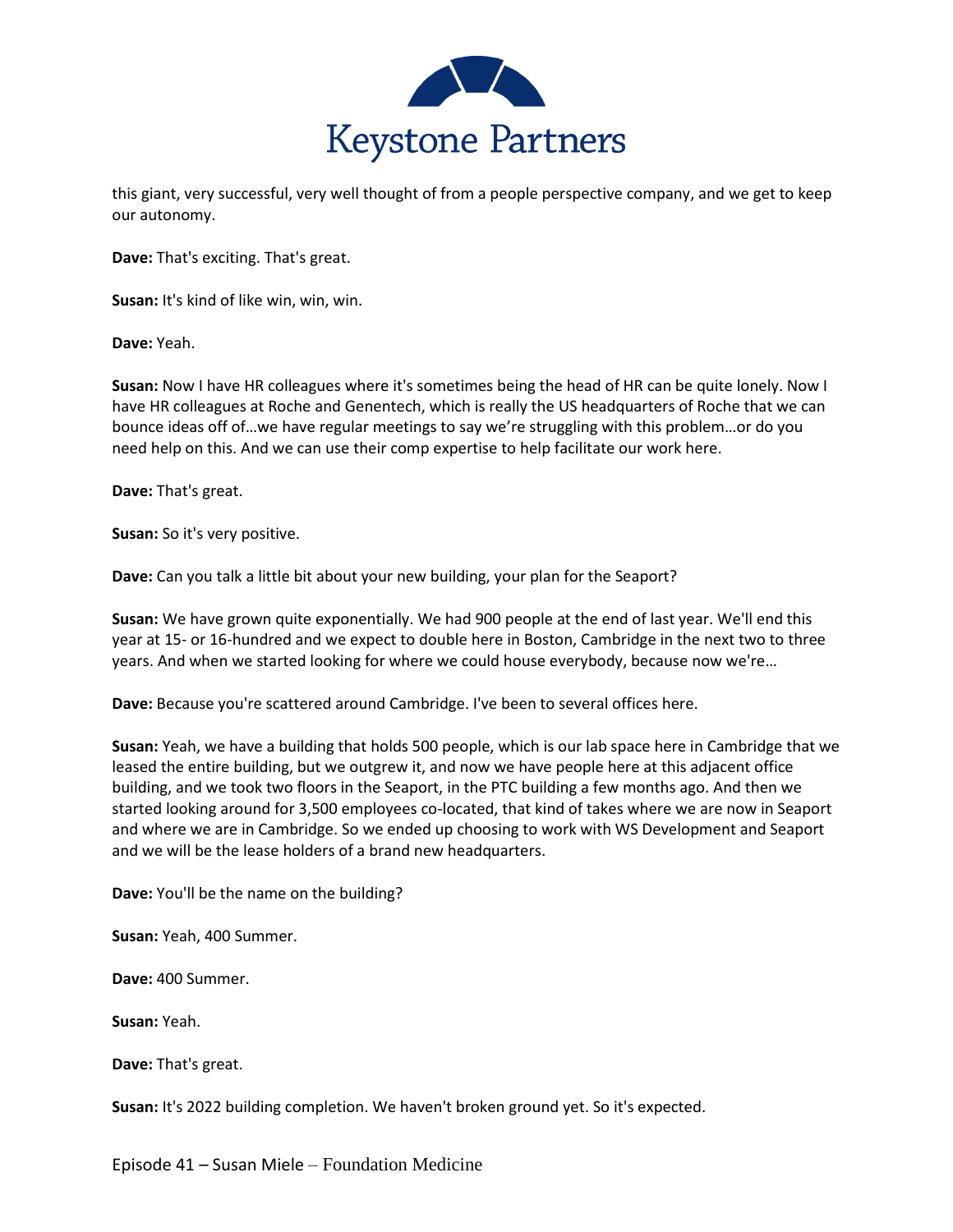

this giant, very successful, very well thought of from a people perspective company, and we get to keep our autonomy.

**Dave:** That's exciting. That's great.

**Susan:** It's kind of like win, win, win.

**Dave:** Yeah.

**Susan:** Now I have HR colleagues where it's sometimes being the head of HR can be quite lonely. Now I have HR colleagues at Roche and Genentech, which is really the US headquarters of Roche that we can bounce ideas off of…we have regular meetings to say we're struggling with this problem…or do you need help on this. And we can use their comp expertise to help facilitate our work here.

**Dave:** That's great.

**Susan:** So it's very positive.

**Dave:** Can you talk a little bit about your new building, your plan for the Seaport?

**Susan:** We have grown quite exponentially. We had 900 people at the end of last year. We'll end this year at 15- or 16-hundred and we expect to double here in Boston, Cambridge in the next two to three years. And when we started looking for where we could house everybody, because now we're…

**Dave:** Because you're scattered around Cambridge. I've been to several offices here.

**Susan:** Yeah, we have a building that holds 500 people, which is our lab space here in Cambridge that we leased the entire building, but we outgrew it, and now we have people here at this adjacent office building, and we took two floors in the Seaport, in the PTC building a few months ago. And then we started looking around for 3,500 employees co-located, that kind of takes where we are now in Seaport and where we are in Cambridge. So we ended up choosing to work with WS Development and Seaport and we will be the lease holders of a brand new headquarters.

**Dave:** You'll be the name on the building?

**Susan:** Yeah, 400 Summer.

**Dave:** 400 Summer.

**Susan:** Yeah.

**Dave:** That's great.

**Susan:** It's 2022 building completion. We haven't broken ground yet. So it's expected.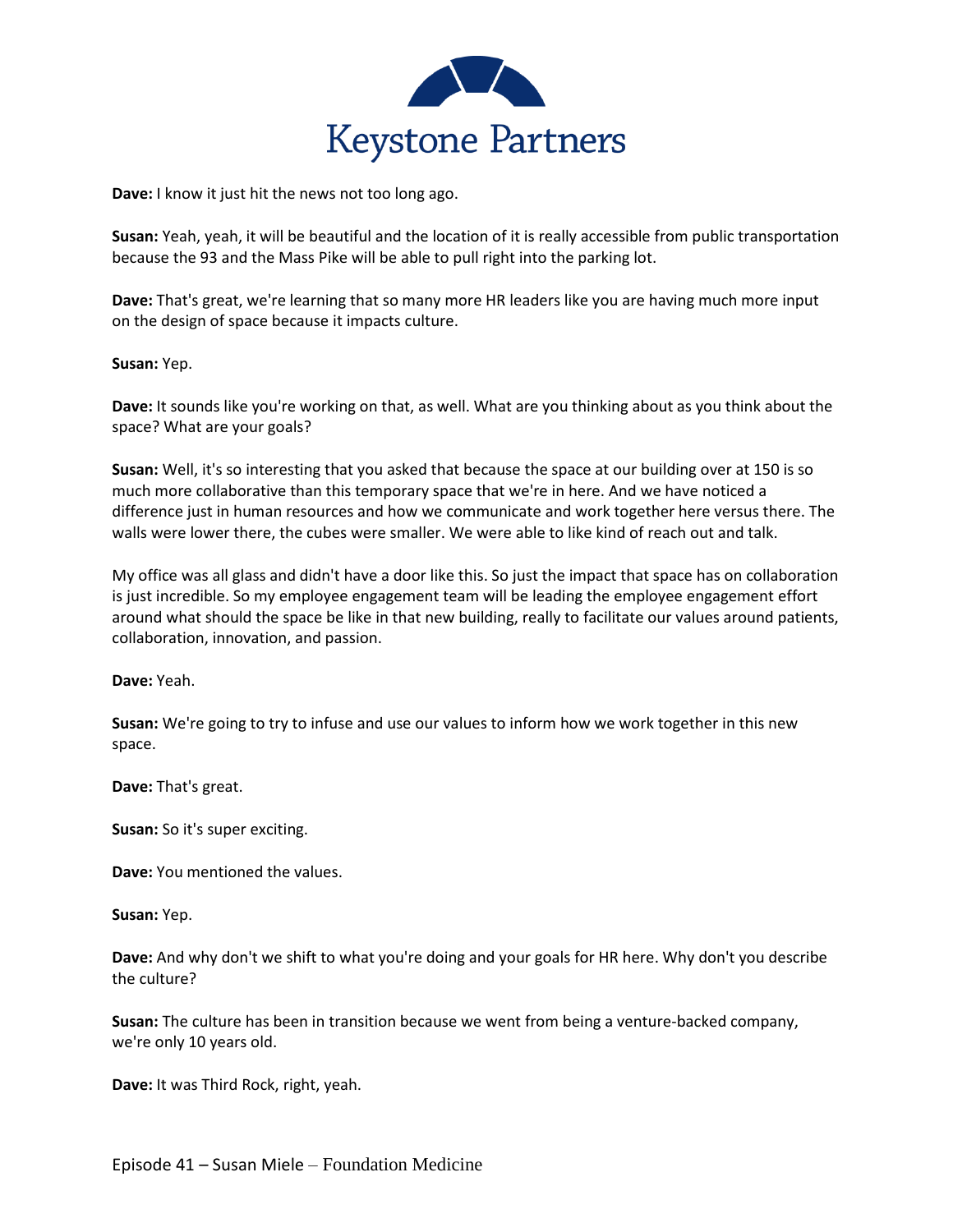

**Dave:** I know it just hit the news not too long ago.

**Susan:** Yeah, yeah, it will be beautiful and the location of it is really accessible from public transportation because the 93 and the Mass Pike will be able to pull right into the parking lot.

**Dave:** That's great, we're learning that so many more HR leaders like you are having much more input on the design of space because it impacts culture.

**Susan:** Yep.

**Dave:** It sounds like you're working on that, as well. What are you thinking about as you think about the space? What are your goals?

**Susan:** Well, it's so interesting that you asked that because the space at our building over at 150 is so much more collaborative than this temporary space that we're in here. And we have noticed a difference just in human resources and how we communicate and work together here versus there. The walls were lower there, the cubes were smaller. We were able to like kind of reach out and talk.

My office was all glass and didn't have a door like this. So just the impact that space has on collaboration is just incredible. So my employee engagement team will be leading the employee engagement effort around what should the space be like in that new building, really to facilitate our values around patients, collaboration, innovation, and passion.

**Dave:** Yeah.

**Susan:** We're going to try to infuse and use our values to inform how we work together in this new space.

**Dave:** That's great.

**Susan:** So it's super exciting.

**Dave:** You mentioned the values.

**Susan:** Yep.

**Dave:** And why don't we shift to what you're doing and your goals for HR here. Why don't you describe the culture?

**Susan:** The culture has been in transition because we went from being a venture-backed company, we're only 10 years old.

**Dave:** It was Third Rock, right, yeah.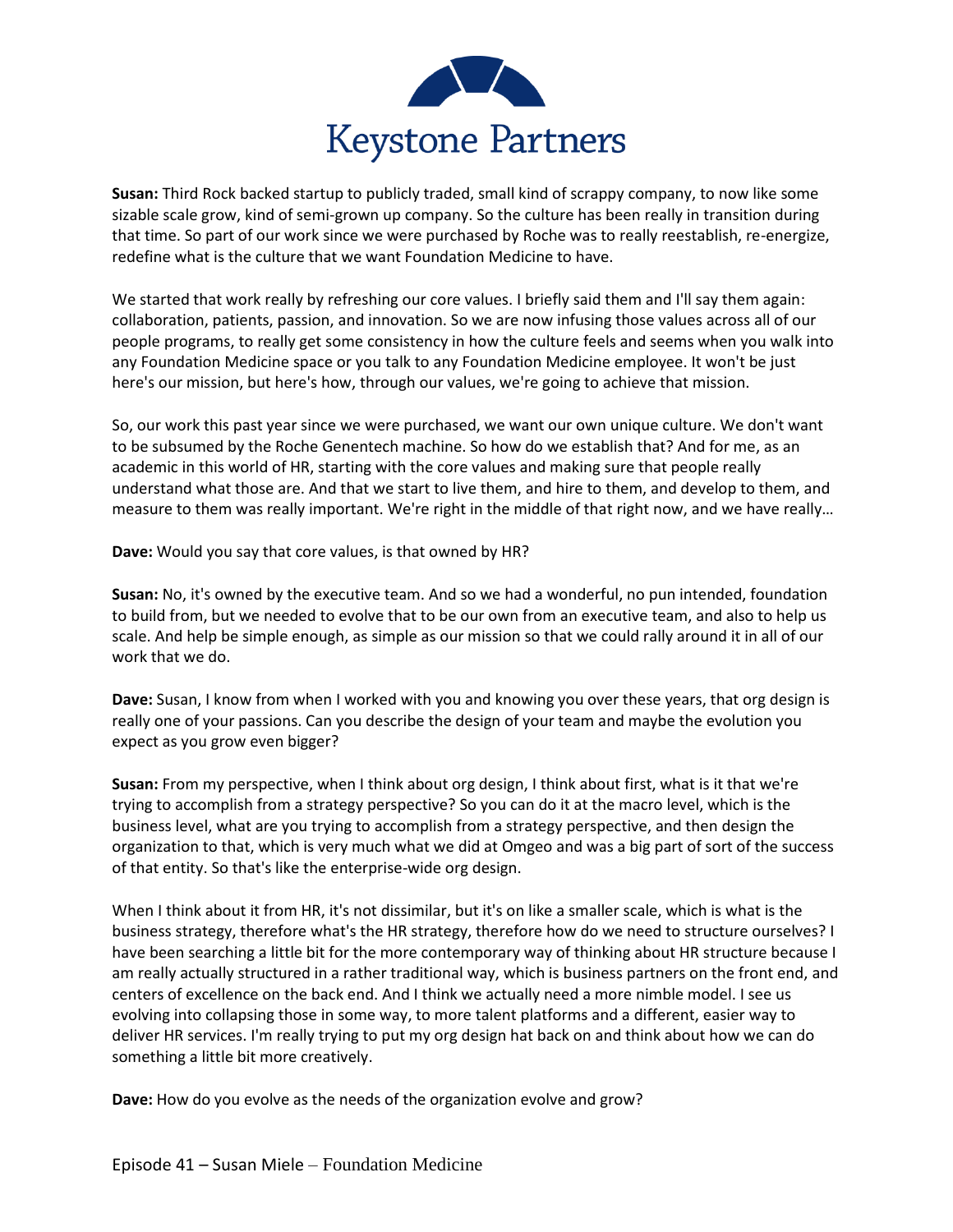

**Susan:** Third Rock backed startup to publicly traded, small kind of scrappy company, to now like some sizable scale grow, kind of semi-grown up company. So the culture has been really in transition during that time. So part of our work since we were purchased by Roche was to really reestablish, re-energize, redefine what is the culture that we want Foundation Medicine to have.

We started that work really by refreshing our core values. I briefly said them and I'll say them again: collaboration, patients, passion, and innovation. So we are now infusing those values across all of our people programs, to really get some consistency in how the culture feels and seems when you walk into any Foundation Medicine space or you talk to any Foundation Medicine employee. It won't be just here's our mission, but here's how, through our values, we're going to achieve that mission.

So, our work this past year since we were purchased, we want our own unique culture. We don't want to be subsumed by the Roche Genentech machine. So how do we establish that? And for me, as an academic in this world of HR, starting with the core values and making sure that people really understand what those are. And that we start to live them, and hire to them, and develop to them, and measure to them was really important. We're right in the middle of that right now, and we have really…

**Dave:** Would you say that core values, is that owned by HR?

**Susan:** No, it's owned by the executive team. And so we had a wonderful, no pun intended, foundation to build from, but we needed to evolve that to be our own from an executive team, and also to help us scale. And help be simple enough, as simple as our mission so that we could rally around it in all of our work that we do.

**Dave:** Susan, I know from when I worked with you and knowing you over these years, that org design is really one of your passions. Can you describe the design of your team and maybe the evolution you expect as you grow even bigger?

**Susan:** From my perspective, when I think about org design, I think about first, what is it that we're trying to accomplish from a strategy perspective? So you can do it at the macro level, which is the business level, what are you trying to accomplish from a strategy perspective, and then design the organization to that, which is very much what we did at Omgeo and was a big part of sort of the success of that entity. So that's like the enterprise-wide org design.

When I think about it from HR, it's not dissimilar, but it's on like a smaller scale, which is what is the business strategy, therefore what's the HR strategy, therefore how do we need to structure ourselves? I have been searching a little bit for the more contemporary way of thinking about HR structure because I am really actually structured in a rather traditional way, which is business partners on the front end, and centers of excellence on the back end. And I think we actually need a more nimble model. I see us evolving into collapsing those in some way, to more talent platforms and a different, easier way to deliver HR services. I'm really trying to put my org design hat back on and think about how we can do something a little bit more creatively.

**Dave:** How do you evolve as the needs of the organization evolve and grow?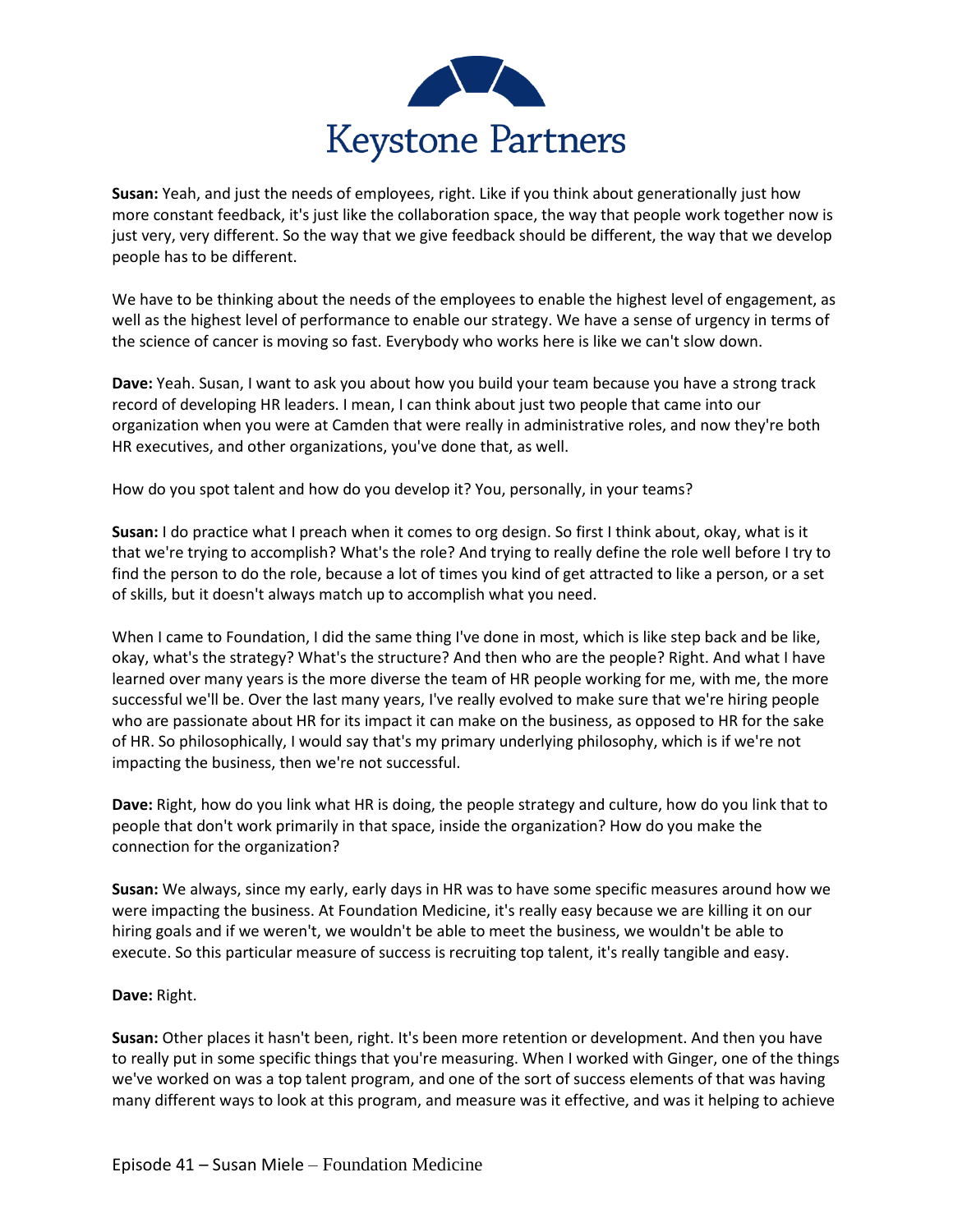

**Susan:** Yeah, and just the needs of employees, right. Like if you think about generationally just how more constant feedback, it's just like the collaboration space, the way that people work together now is just very, very different. So the way that we give feedback should be different, the way that we develop people has to be different.

We have to be thinking about the needs of the employees to enable the highest level of engagement, as well as the highest level of performance to enable our strategy. We have a sense of urgency in terms of the science of cancer is moving so fast. Everybody who works here is like we can't slow down.

**Dave:** Yeah. Susan, I want to ask you about how you build your team because you have a strong track record of developing HR leaders. I mean, I can think about just two people that came into our organization when you were at Camden that were really in administrative roles, and now they're both HR executives, and other organizations, you've done that, as well.

How do you spot talent and how do you develop it? You, personally, in your teams?

**Susan:** I do practice what I preach when it comes to org design. So first I think about, okay, what is it that we're trying to accomplish? What's the role? And trying to really define the role well before I try to find the person to do the role, because a lot of times you kind of get attracted to like a person, or a set of skills, but it doesn't always match up to accomplish what you need.

When I came to Foundation, I did the same thing I've done in most, which is like step back and be like, okay, what's the strategy? What's the structure? And then who are the people? Right. And what I have learned over many years is the more diverse the team of HR people working for me, with me, the more successful we'll be. Over the last many years, I've really evolved to make sure that we're hiring people who are passionate about HR for its impact it can make on the business, as opposed to HR for the sake of HR. So philosophically, I would say that's my primary underlying philosophy, which is if we're not impacting the business, then we're not successful.

**Dave:** Right, how do you link what HR is doing, the people strategy and culture, how do you link that to people that don't work primarily in that space, inside the organization? How do you make the connection for the organization?

**Susan:** We always, since my early, early days in HR was to have some specific measures around how we were impacting the business. At Foundation Medicine, it's really easy because we are killing it on our hiring goals and if we weren't, we wouldn't be able to meet the business, we wouldn't be able to execute. So this particular measure of success is recruiting top talent, it's really tangible and easy.

## **Dave:** Right.

**Susan:** Other places it hasn't been, right. It's been more retention or development. And then you have to really put in some specific things that you're measuring. When I worked with Ginger, one of the things we've worked on was a top talent program, and one of the sort of success elements of that was having many different ways to look at this program, and measure was it effective, and was it helping to achieve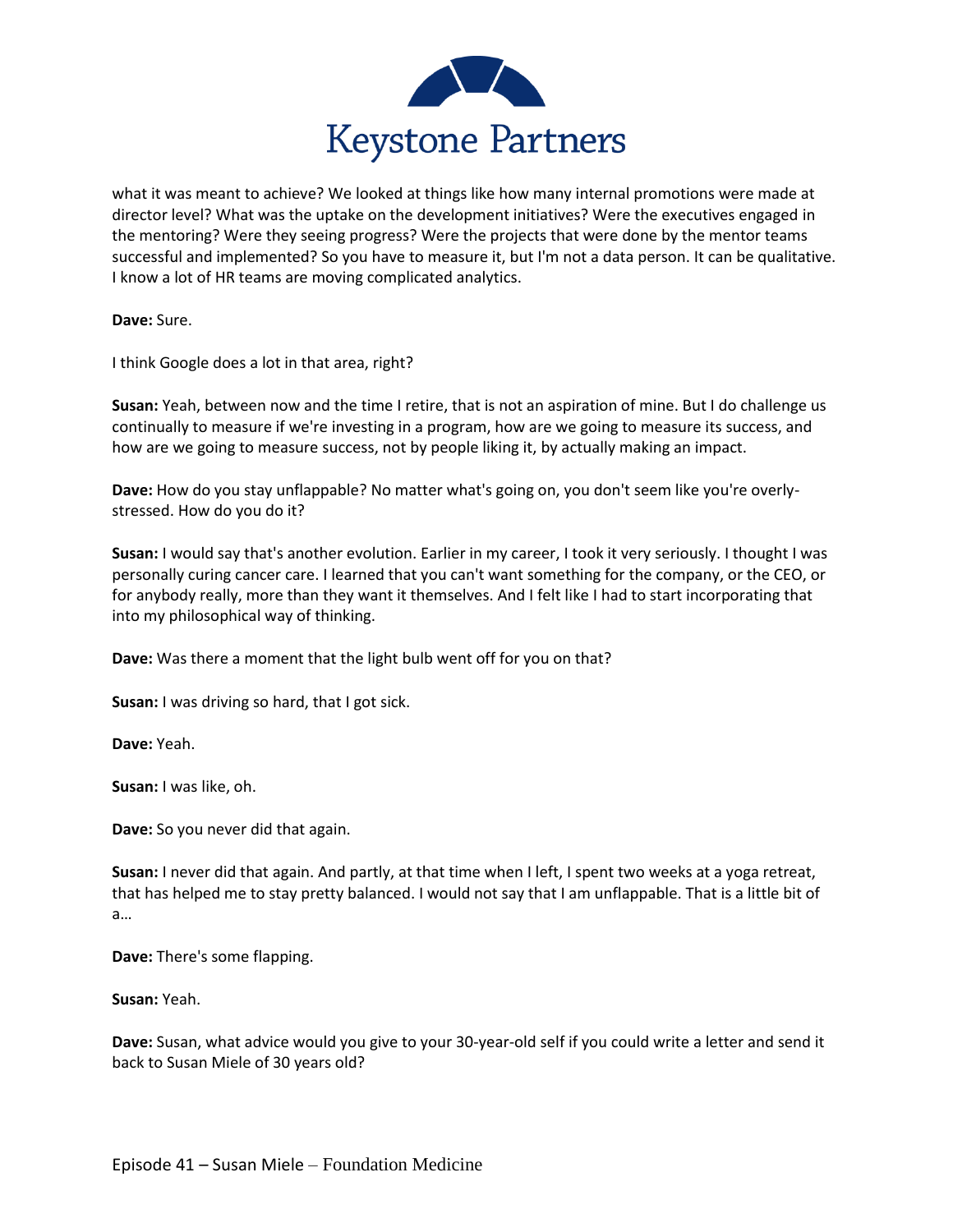

what it was meant to achieve? We looked at things like how many internal promotions were made at director level? What was the uptake on the development initiatives? Were the executives engaged in the mentoring? Were they seeing progress? Were the projects that were done by the mentor teams successful and implemented? So you have to measure it, but I'm not a data person. It can be qualitative. I know a lot of HR teams are moving complicated analytics.

**Dave:** Sure.

I think Google does a lot in that area, right?

**Susan:** Yeah, between now and the time I retire, that is not an aspiration of mine. But I do challenge us continually to measure if we're investing in a program, how are we going to measure its success, and how are we going to measure success, not by people liking it, by actually making an impact.

**Dave:** How do you stay unflappable? No matter what's going on, you don't seem like you're overlystressed. How do you do it?

**Susan:** I would say that's another evolution. Earlier in my career, I took it very seriously. I thought I was personally curing cancer care. I learned that you can't want something for the company, or the CEO, or for anybody really, more than they want it themselves. And I felt like I had to start incorporating that into my philosophical way of thinking.

**Dave:** Was there a moment that the light bulb went off for you on that?

**Susan:** I was driving so hard, that I got sick.

**Dave:** Yeah.

**Susan:** I was like, oh.

**Dave:** So you never did that again.

**Susan:** I never did that again. And partly, at that time when I left, I spent two weeks at a yoga retreat, that has helped me to stay pretty balanced. I would not say that I am unflappable. That is a little bit of a…

**Dave:** There's some flapping.

**Susan:** Yeah.

**Dave:** Susan, what advice would you give to your 30-year-old self if you could write a letter and send it back to Susan Miele of 30 years old?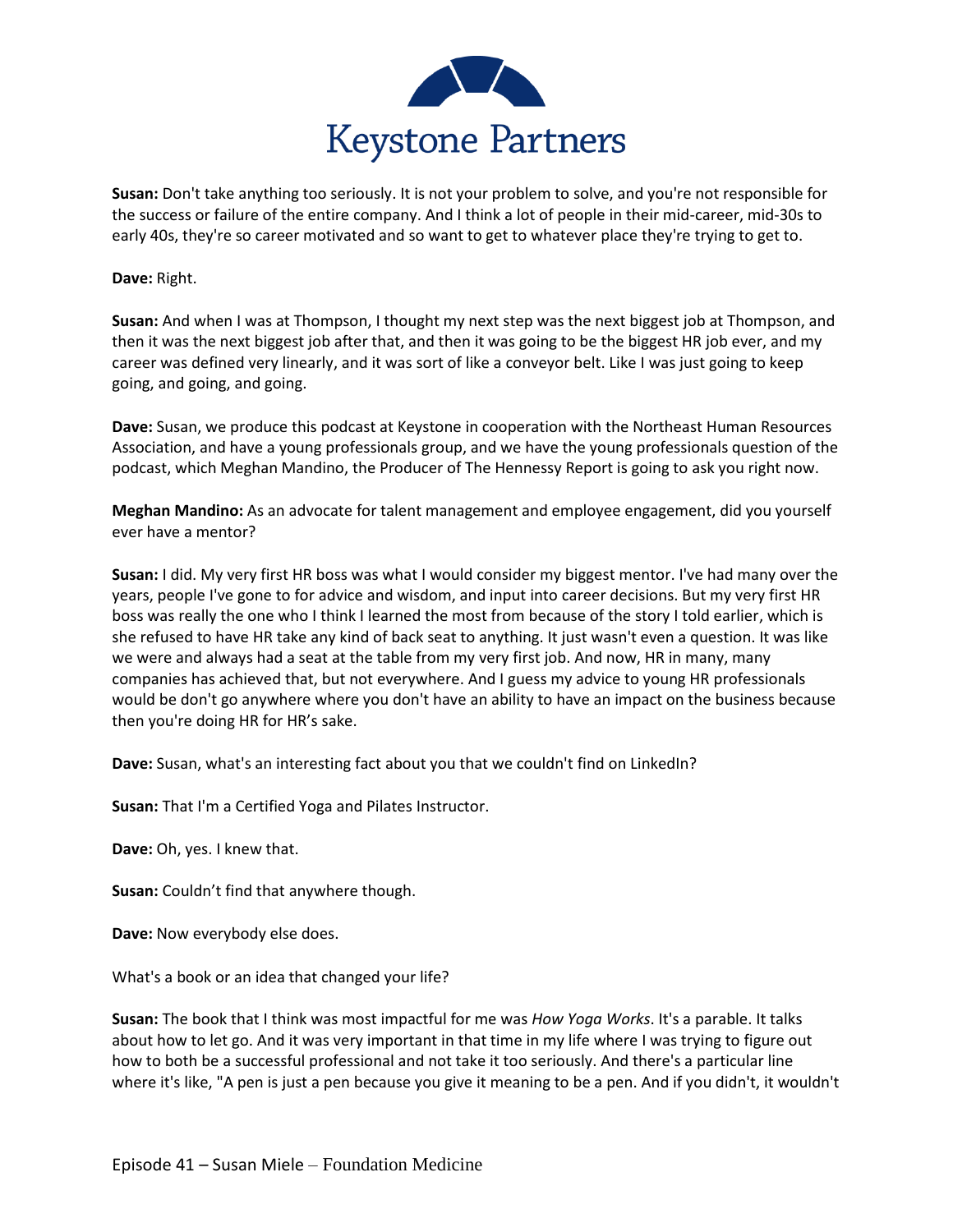

**Susan:** Don't take anything too seriously. It is not your problem to solve, and you're not responsible for the success or failure of the entire company. And I think a lot of people in their mid-career, mid-30s to early 40s, they're so career motivated and so want to get to whatever place they're trying to get to.

## **Dave:** Right.

**Susan:** And when I was at Thompson, I thought my next step was the next biggest job at Thompson, and then it was the next biggest job after that, and then it was going to be the biggest HR job ever, and my career was defined very linearly, and it was sort of like a conveyor belt. Like I was just going to keep going, and going, and going.

**Dave:** Susan, we produce this podcast at Keystone in cooperation with the Northeast Human Resources Association, and have a young professionals group, and we have the young professionals question of the podcast, which Meghan Mandino, the Producer of The Hennessy Report is going to ask you right now.

**Meghan Mandino:** As an advocate for talent management and employee engagement, did you yourself ever have a mentor?

**Susan:** I did. My very first HR boss was what I would consider my biggest mentor. I've had many over the years, people I've gone to for advice and wisdom, and input into career decisions. But my very first HR boss was really the one who I think I learned the most from because of the story I told earlier, which is she refused to have HR take any kind of back seat to anything. It just wasn't even a question. It was like we were and always had a seat at the table from my very first job. And now, HR in many, many companies has achieved that, but not everywhere. And I guess my advice to young HR professionals would be don't go anywhere where you don't have an ability to have an impact on the business because then you're doing HR for HR's sake.

**Dave:** Susan, what's an interesting fact about you that we couldn't find on LinkedIn?

**Susan:** That I'm a Certified Yoga and Pilates Instructor.

**Dave:** Oh, yes. I knew that.

**Susan:** Couldn't find that anywhere though.

**Dave:** Now everybody else does.

What's a book or an idea that changed your life?

**Susan:** The book that I think was most impactful for me was *How Yoga Works*. It's a parable. It talks about how to let go. And it was very important in that time in my life where I was trying to figure out how to both be a successful professional and not take it too seriously. And there's a particular line where it's like, "A pen is just a pen because you give it meaning to be a pen. And if you didn't, it wouldn't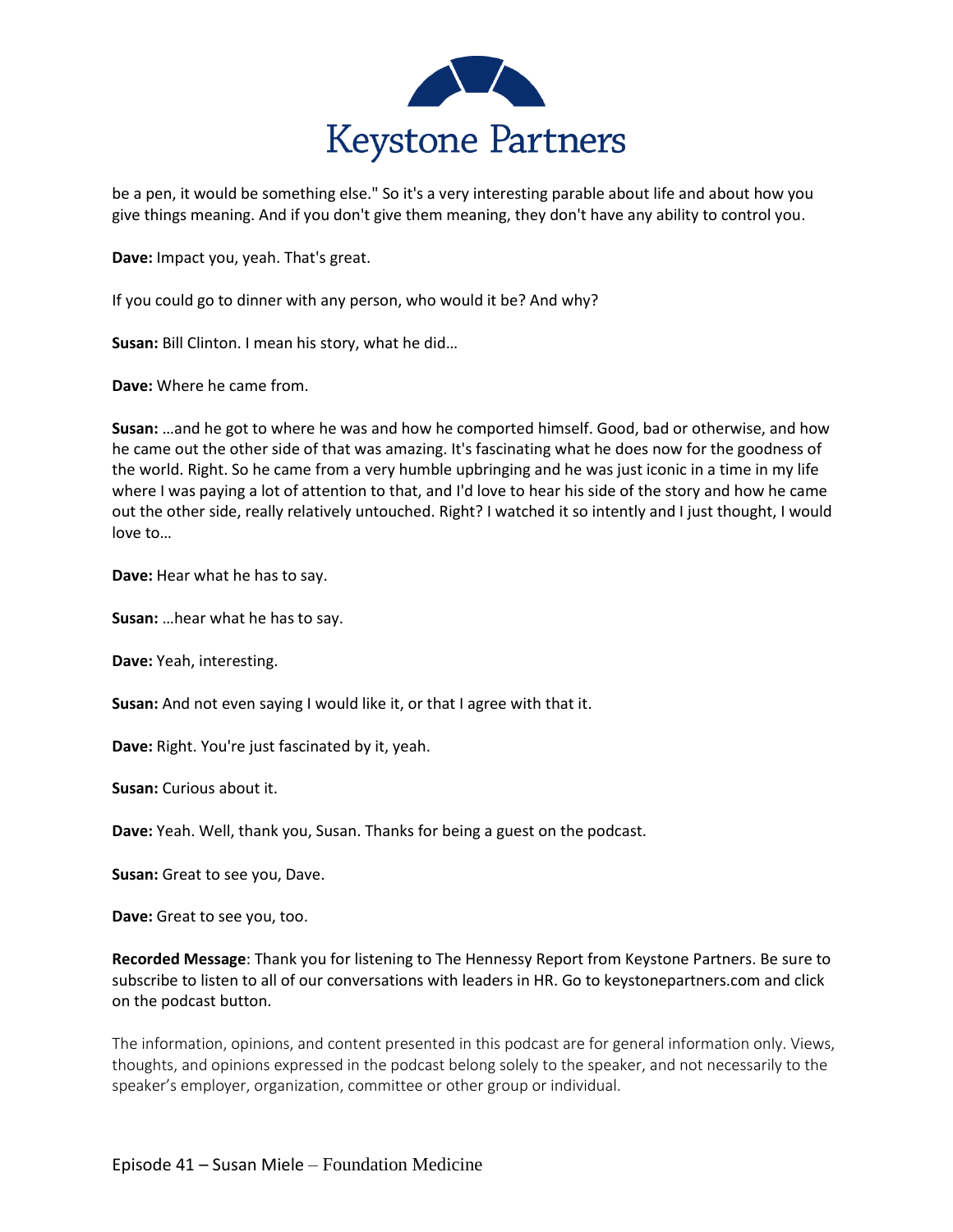

be a pen, it would be something else." So it's a very interesting parable about life and about how you give things meaning. And if you don't give them meaning, they don't have any ability to control you.

**Dave:** Impact you, yeah. That's great.

If you could go to dinner with any person, who would it be? And why?

**Susan:** Bill Clinton. I mean his story, what he did…

**Dave:** Where he came from.

**Susan:** …and he got to where he was and how he comported himself. Good, bad or otherwise, and how he came out the other side of that was amazing. It's fascinating what he does now for the goodness of the world. Right. So he came from a very humble upbringing and he was just iconic in a time in my life where I was paying a lot of attention to that, and I'd love to hear his side of the story and how he came out the other side, really relatively untouched. Right? I watched it so intently and I just thought, I would love to…

**Dave:** Hear what he has to say.

**Susan:** …hear what he has to say.

**Dave:** Yeah, interesting.

**Susan:** And not even saying I would like it, or that I agree with that it.

**Dave:** Right. You're just fascinated by it, yeah.

**Susan:** Curious about it.

**Dave:** Yeah. Well, thank you, Susan. Thanks for being a guest on the podcast.

**Susan:** Great to see you, Dave.

**Dave:** Great to see you, too.

**Recorded Message**: Thank you for listening to The Hennessy Report from Keystone Partners. Be sure to subscribe to listen to all of our conversations with leaders in HR. Go to keystonepartners.com and click on the podcast button.

The information, opinions, and content presented in this podcast are for general information only. Views, thoughts, and opinions expressed in the podcast belong solely to the speaker, and not necessarily to the speaker's employer, organization, committee or other group or individual.